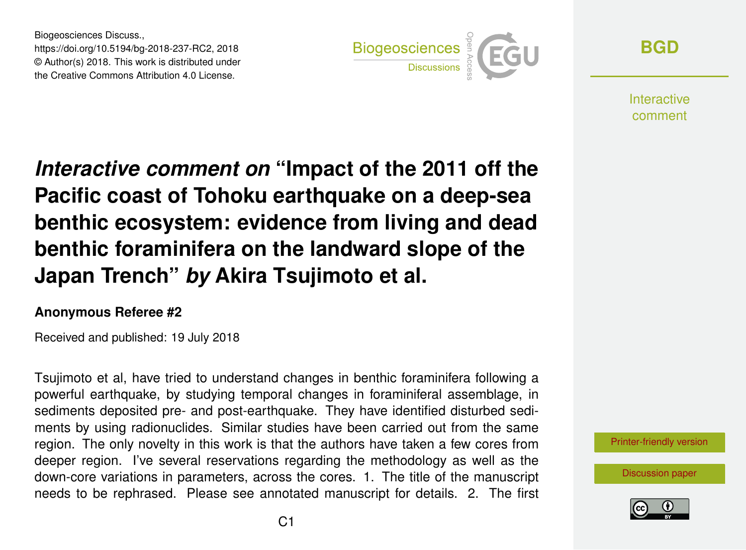Biogeosciences Discuss., https://doi.org/10.5194/bg-2018-237-RC2, 2018 © Author(s) 2018. This work is distributed under the Creative Commons Attribution 4.0 License.



**[BGD](https://www.biogeosciences-discuss.net/)**

**Interactive** comment

*Interactive comment on* **"Impact of the 2011 off the Pacific coast of Tohoku earthquake on a deep-sea benthic ecosystem: evidence from living and dead benthic foraminifera on the landward slope of the Japan Trench"** *by* **Akira Tsujimoto et al.**

## **Anonymous Referee #2**

Received and published: 19 July 2018

Tsujimoto et al, have tried to understand changes in benthic foraminifera following a powerful earthquake, by studying temporal changes in foraminiferal assemblage, in sediments deposited pre- and post-earthquake. They have identified disturbed sediments by using radionuclides. Similar studies have been carried out from the same region. The only novelty in this work is that the authors have taken a few cores from deeper region. I've several reservations regarding the methodology as well as the down-core variations in parameters, across the cores. 1. The title of the manuscript needs to be rephrased. Please see annotated manuscript for details. 2. The first



[Discussion paper](https://www.biogeosciences-discuss.net/bg-2018-237)

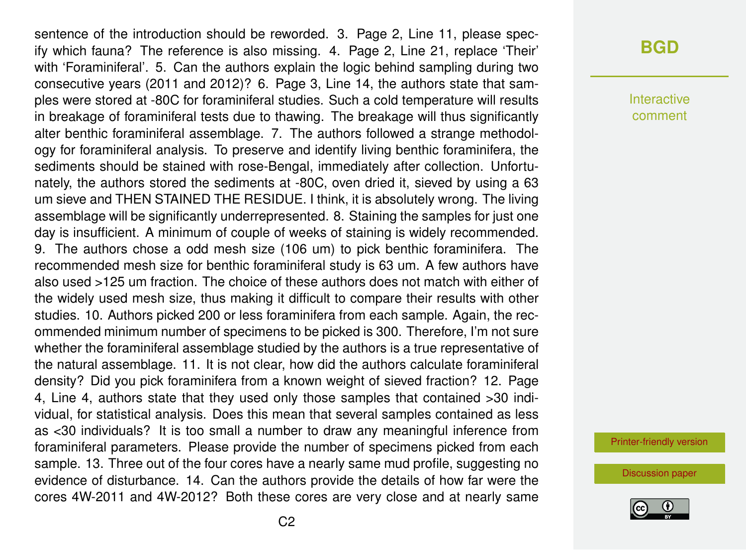sentence of the introduction should be reworded. 3. Page 2, Line 11, please specify which fauna? The reference is also missing. 4. Page 2, Line 21, replace 'Their' with 'Foraminiferal'. 5. Can the authors explain the logic behind sampling during two consecutive years (2011 and 2012)? 6. Page 3, Line 14, the authors state that samples were stored at -80C for foraminiferal studies. Such a cold temperature will results in breakage of foraminiferal tests due to thawing. The breakage will thus significantly alter benthic foraminiferal assemblage. 7. The authors followed a strange methodology for foraminiferal analysis. To preserve and identify living benthic foraminifera, the sediments should be stained with rose-Bengal, immediately after collection. Unfortunately, the authors stored the sediments at -80C, oven dried it, sieved by using a 63 um sieve and THEN STAINED THE RESIDUE. I think, it is absolutely wrong. The living assemblage will be significantly underrepresented. 8. Staining the samples for just one day is insufficient. A minimum of couple of weeks of staining is widely recommended. 9. The authors chose a odd mesh size (106 um) to pick benthic foraminifera. The recommended mesh size for benthic foraminiferal study is 63 um. A few authors have also used >125 um fraction. The choice of these authors does not match with either of the widely used mesh size, thus making it difficult to compare their results with other studies. 10. Authors picked 200 or less foraminifera from each sample. Again, the recommended minimum number of specimens to be picked is 300. Therefore, I'm not sure whether the foraminiferal assemblage studied by the authors is a true representative of the natural assemblage. 11. It is not clear, how did the authors calculate foraminiferal density? Did you pick foraminifera from a known weight of sieved fraction? 12. Page 4, Line 4, authors state that they used only those samples that contained >30 individual, for statistical analysis. Does this mean that several samples contained as less as <30 individuals? It is too small a number to draw any meaningful inference from foraminiferal parameters. Please provide the number of specimens picked from each sample. 13. Three out of the four cores have a nearly same mud profile, suggesting no evidence of disturbance. 14. Can the authors provide the details of how far were the cores 4W-2011 and 4W-2012? Both these cores are very close and at nearly same

## **[BGD](https://www.biogeosciences-discuss.net/)**

Interactive comment

[Printer-friendly version](https://www.biogeosciences-discuss.net/bg-2018-237/bg-2018-237-RC2-print.pdf)

[Discussion paper](https://www.biogeosciences-discuss.net/bg-2018-237)